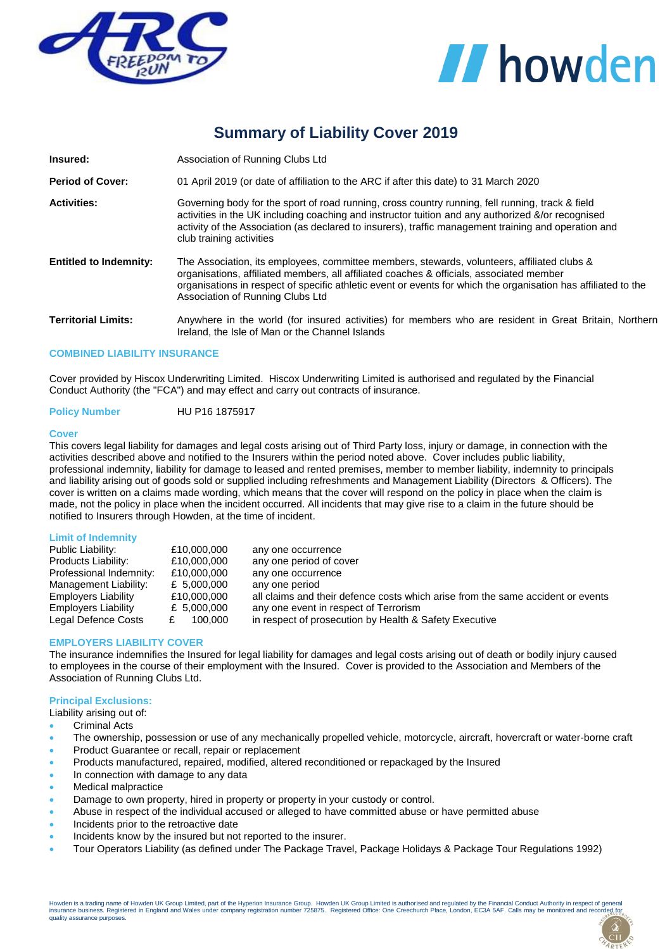



# **Summary of Liability Cover 2019**

| Insured:                      | Association of Running Clubs Ltd                                                                                                                                                                                                                                                                                                              |  |  |
|-------------------------------|-----------------------------------------------------------------------------------------------------------------------------------------------------------------------------------------------------------------------------------------------------------------------------------------------------------------------------------------------|--|--|
| <b>Period of Cover:</b>       | 01 April 2019 (or date of affiliation to the ARC if after this date) to 31 March 2020                                                                                                                                                                                                                                                         |  |  |
| <b>Activities:</b>            | Governing body for the sport of road running, cross country running, fell running, track & field<br>activities in the UK including coaching and instructor tuition and any authorized &/or recognised<br>activity of the Association (as declared to insurers), traffic management training and operation and<br>club training activities     |  |  |
| <b>Entitled to Indemnity:</b> | The Association, its employees, committee members, stewards, volunteers, affiliated clubs &<br>organisations, affiliated members, all affiliated coaches & officials, associated member<br>organisations in respect of specific athletic event or events for which the organisation has affiliated to the<br>Association of Running Clubs Ltd |  |  |
| <b>Territorial Limits:</b>    | Anywhere in the world (for insured activities) for members who are resident in Great Britain, Northern<br>Ireland, the Isle of Man or the Channel Islands                                                                                                                                                                                     |  |  |

#### **COMBINED LIABILITY INSURANCE**

Cover provided by Hiscox Underwriting Limited. Hiscox Underwriting Limited is authorised and regulated by the Financial Conduct Authority (the "FCA") and may effect and carry out contracts of insurance.

**Policy Number** HU P16 1875917

#### **Cover**

This covers legal liability for damages and legal costs arising out of Third Party loss, injury or damage, in connection with the activities described above and notified to the Insurers within the period noted above. Cover includes public liability, professional indemnity, liability for damage to leased and rented premises, member to member liability, indemnity to principals and liability arising out of goods sold or supplied including refreshments and Management Liability (Directors & Officers). The cover is written on a claims made wording, which means that the cover will respond on the policy in place when the claim is made, not the policy in place when the incident occurred. All incidents that may give rise to a claim in the future should be notified to Insurers through Howden, at the time of incident.

|  | <b>Limit of Indemnity</b> |  |
|--|---------------------------|--|
|  |                           |  |

| Public Liability:          | £10,000,000   | any one occurrence                                                              |
|----------------------------|---------------|---------------------------------------------------------------------------------|
| Products Liability:        | £10,000,000   | any one period of cover                                                         |
| Professional Indemnity:    | £10,000,000   | any one occurrence                                                              |
| Management Liability:      | £ 5,000,000   | any one period                                                                  |
| Employers Liability        | £10,000,000   | all claims and their defence costs which arise from the same accident or events |
| <b>Employers Liability</b> | £ $5,000,000$ | any one event in respect of Terrorism                                           |
| Legal Defence Costs        | 100.000       | in respect of prosecution by Health & Safety Executive                          |

#### **EMPLOYERS LIABILITY COVER**

The insurance indemnifies the Insured for legal liability for damages and legal costs arising out of death or bodily injury caused to employees in the course of their employment with the Insured. Cover is provided to the Association and Members of the Association of Running Clubs Ltd.

#### **Principal Exclusions:**

Liability arising out of:

- Criminal Acts
- The ownership, possession or use of any mechanically propelled vehicle, motorcycle, aircraft, hovercraft or water-borne craft
- Product Guarantee or recall, repair or replacement
- Products manufactured, repaired, modified, altered reconditioned or repackaged by the Insured
- In connection with damage to any data
- Medical malpractice
- Damage to own property, hired in property or property in your custody or control.
- Abuse in respect of the individual accused or alleged to have committed abuse or have permitted abuse
- Incidents prior to the retroactive date
- Incidents know by the insured but not reported to the insurer.
- Tour Operators Liability (as defined under The Package Travel, Package Holidays & Package Tour Regulations 1992)